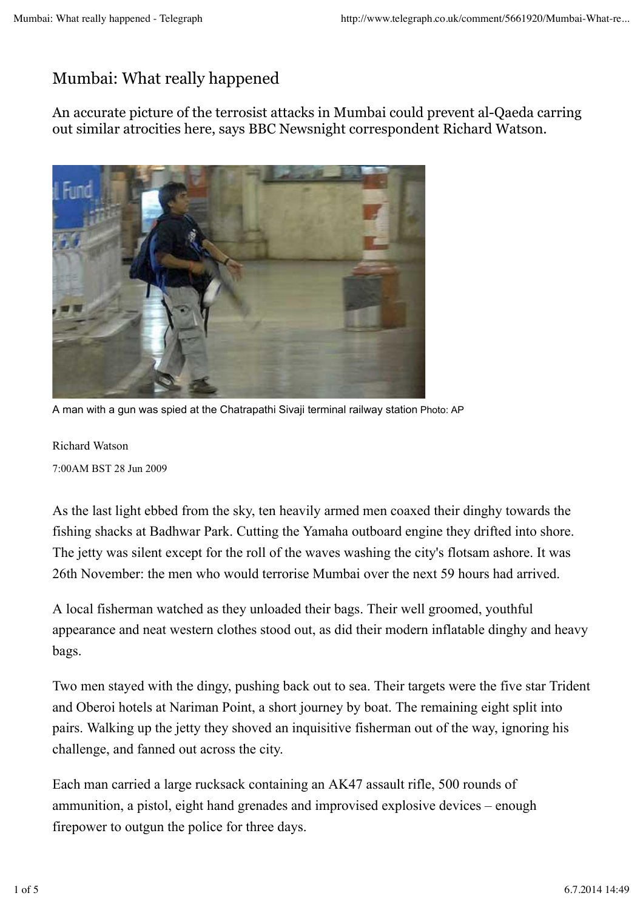## Mumbai: What really happened

An accurate picture of the terrosist attacks in Mumbai could prevent al-Qaeda carring out similar atrocities here, says BBC Newsnight correspondent Richard Watson.



A man with a gun was spied at the Chatrapathi Sivaji terminal railway station Photo: AP

Richard Watson 7:00AM BST 28 Jun 2009

As the last light ebbed from the sky, ten heavily armed men coaxed their dinghy towards the fishing shacks at Badhwar Park. Cutting the Yamaha outboard engine they drifted into shore. The jetty was silent except for the roll of the waves washing the city's flotsam ashore. It was 26th November: the men who would terrorise Mumbai over the next 59 hours had arrived.

A local fisherman watched as they unloaded their bags. Their well groomed, youthful appearance and neat western clothes stood out, as did their modern inflatable dinghy and heavy bags.

Two men stayed with the dingy, pushing back out to sea. Their targets were the five star Trident and Oberoi hotels at Nariman Point, a short journey by boat. The remaining eight split into pairs. Walking up the jetty they shoved an inquisitive fisherman out of the way, ignoring his challenge, and fanned out across the city.

Each man carried a large rucksack containing an AK47 assault rifle, 500 rounds of ammunition, a pistol, eight hand grenades and improvised explosive devices – enough firepower to outgun the police for three days.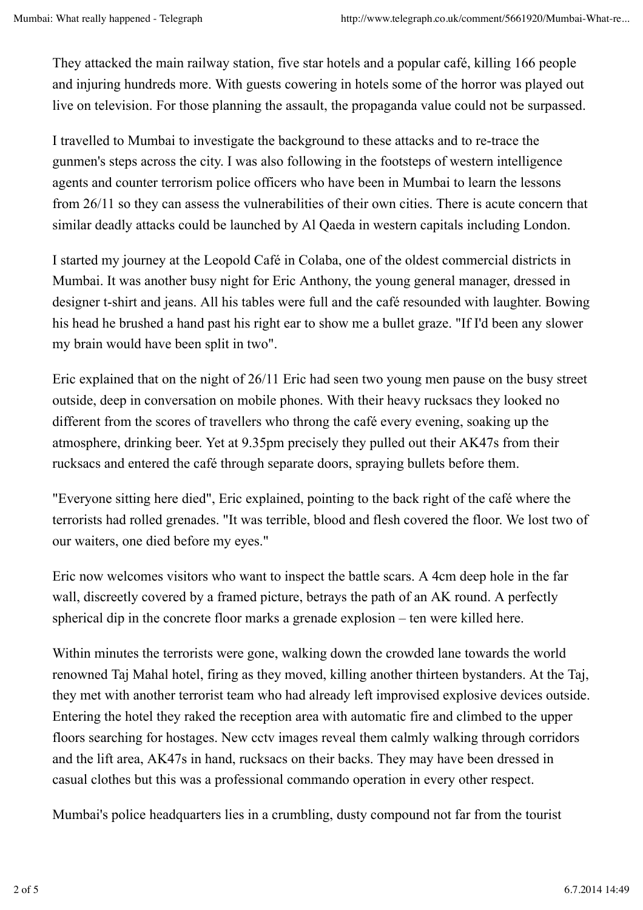They attacked the main railway station, five star hotels and a popular café, killing 166 people and injuring hundreds more. With guests cowering in hotels some of the horror was played out live on television. For those planning the assault, the propaganda value could not be surpassed.

I travelled to Mumbai to investigate the background to these attacks and to re-trace the gunmen's steps across the city. I was also following in the footsteps of western intelligence agents and counter terrorism police officers who have been in Mumbai to learn the lessons from 26/11 so they can assess the vulnerabilities of their own cities. There is acute concern that similar deadly attacks could be launched by Al Qaeda in western capitals including London.

I started my journey at the Leopold Café in Colaba, one of the oldest commercial districts in Mumbai. It was another busy night for Eric Anthony, the young general manager, dressed in designer t-shirt and jeans. All his tables were full and the café resounded with laughter. Bowing his head he brushed a hand past his right ear to show me a bullet graze. "If I'd been any slower my brain would have been split in two".

Eric explained that on the night of 26/11 Eric had seen two young men pause on the busy street outside, deep in conversation on mobile phones. With their heavy rucksacs they looked no different from the scores of travellers who throng the café every evening, soaking up the atmosphere, drinking beer. Yet at 9.35pm precisely they pulled out their AK47s from their rucksacs and entered the café through separate doors, spraying bullets before them.

"Everyone sitting here died", Eric explained, pointing to the back right of the café where the terrorists had rolled grenades. "It was terrible, blood and flesh covered the floor. We lost two of our waiters, one died before my eyes."

Eric now welcomes visitors who want to inspect the battle scars. A 4cm deep hole in the far wall, discreetly covered by a framed picture, betrays the path of an AK round. A perfectly spherical dip in the concrete floor marks a grenade explosion – ten were killed here.

Within minutes the terrorists were gone, walking down the crowded lane towards the world renowned Taj Mahal hotel, firing as they moved, killing another thirteen bystanders. At the Taj, they met with another terrorist team who had already left improvised explosive devices outside. Entering the hotel they raked the reception area with automatic fire and climbed to the upper floors searching for hostages. New cctv images reveal them calmly walking through corridors and the lift area, AK47s in hand, rucksacs on their backs. They may have been dressed in casual clothes but this was a professional commando operation in every other respect.

Mumbai's police headquarters lies in a crumbling, dusty compound not far from the tourist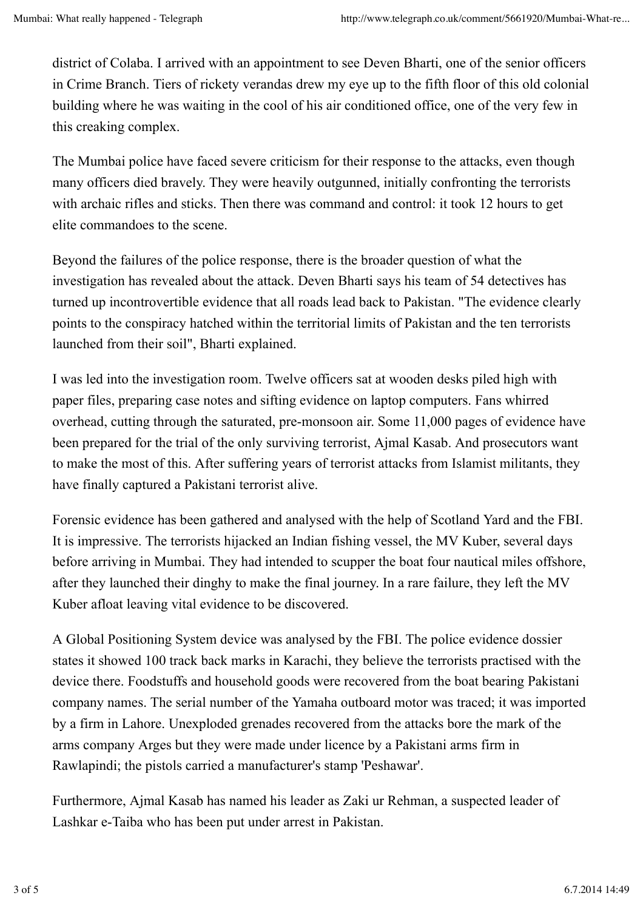district of Colaba. I arrived with an appointment to see Deven Bharti, one of the senior officers in Crime Branch. Tiers of rickety verandas drew my eye up to the fifth floor of this old colonial building where he was waiting in the cool of his air conditioned office, one of the very few in this creaking complex.

The Mumbai police have faced severe criticism for their response to the attacks, even though many officers died bravely. They were heavily outgunned, initially confronting the terrorists with archaic rifles and sticks. Then there was command and control: it took 12 hours to get elite commandoes to the scene.

Beyond the failures of the police response, there is the broader question of what the investigation has revealed about the attack. Deven Bharti says his team of 54 detectives has turned up incontrovertible evidence that all roads lead back to Pakistan. "The evidence clearly points to the conspiracy hatched within the territorial limits of Pakistan and the ten terrorists launched from their soil", Bharti explained.

I was led into the investigation room. Twelve officers sat at wooden desks piled high with paper files, preparing case notes and sifting evidence on laptop computers. Fans whirred overhead, cutting through the saturated, pre-monsoon air. Some 11,000 pages of evidence have been prepared for the trial of the only surviving terrorist, Ajmal Kasab. And prosecutors want to make the most of this. After suffering years of terrorist attacks from Islamist militants, they have finally captured a Pakistani terrorist alive.

Forensic evidence has been gathered and analysed with the help of Scotland Yard and the FBI. It is impressive. The terrorists hijacked an Indian fishing vessel, the MV Kuber, several days before arriving in Mumbai. They had intended to scupper the boat four nautical miles offshore, after they launched their dinghy to make the final journey. In a rare failure, they left the MV Kuber afloat leaving vital evidence to be discovered.

A Global Positioning System device was analysed by the FBI. The police evidence dossier states it showed 100 track back marks in Karachi, they believe the terrorists practised with the device there. Foodstuffs and household goods were recovered from the boat bearing Pakistani company names. The serial number of the Yamaha outboard motor was traced; it was imported by a firm in Lahore. Unexploded grenades recovered from the attacks bore the mark of the arms company Arges but they were made under licence by a Pakistani arms firm in Rawlapindi; the pistols carried a manufacturer's stamp 'Peshawar'.

Furthermore, Ajmal Kasab has named his leader as Zaki ur Rehman, a suspected leader of Lashkar e-Taiba who has been put under arrest in Pakistan.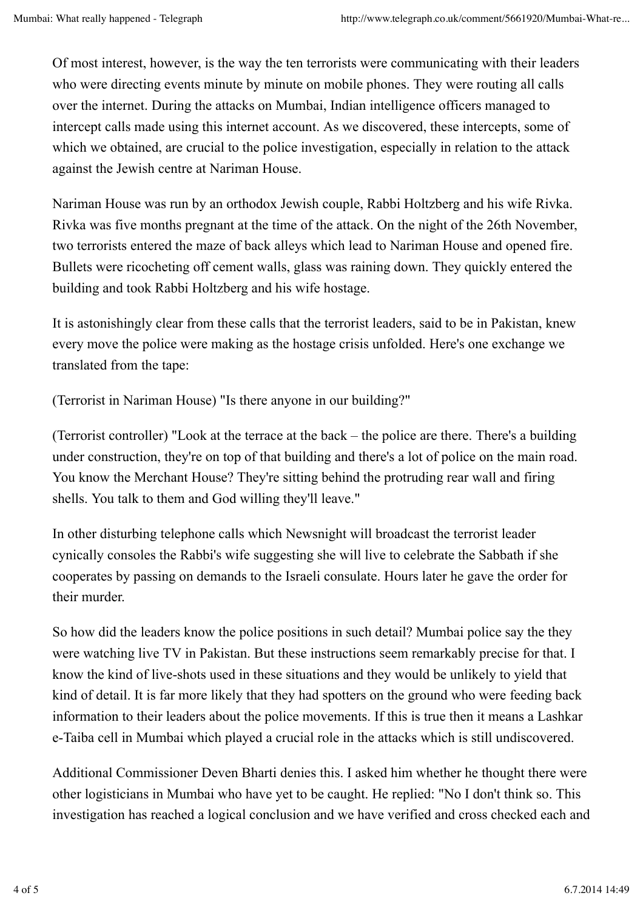Of most interest, however, is the way the ten terrorists were communicating with their leaders who were directing events minute by minute on mobile phones. They were routing all calls over the internet. During the attacks on Mumbai, Indian intelligence officers managed to intercept calls made using this internet account. As we discovered, these intercepts, some of which we obtained, are crucial to the police investigation, especially in relation to the attack against the Jewish centre at Nariman House.

Nariman House was run by an orthodox Jewish couple, Rabbi Holtzberg and his wife Rivka. Rivka was five months pregnant at the time of the attack. On the night of the 26th November, two terrorists entered the maze of back alleys which lead to Nariman House and opened fire. Bullets were ricocheting off cement walls, glass was raining down. They quickly entered the building and took Rabbi Holtzberg and his wife hostage.

It is astonishingly clear from these calls that the terrorist leaders, said to be in Pakistan, knew every move the police were making as the hostage crisis unfolded. Here's one exchange we translated from the tape:

(Terrorist in Nariman House) "Is there anyone in our building?"

(Terrorist controller) "Look at the terrace at the back – the police are there. There's a building under construction, they're on top of that building and there's a lot of police on the main road. You know the Merchant House? They're sitting behind the protruding rear wall and firing shells. You talk to them and God willing they'll leave."

In other disturbing telephone calls which Newsnight will broadcast the terrorist leader cynically consoles the Rabbi's wife suggesting she will live to celebrate the Sabbath if she cooperates by passing on demands to the Israeli consulate. Hours later he gave the order for their murder.

So how did the leaders know the police positions in such detail? Mumbai police say the they were watching live TV in Pakistan. But these instructions seem remarkably precise for that. I know the kind of live-shots used in these situations and they would be unlikely to yield that kind of detail. It is far more likely that they had spotters on the ground who were feeding back information to their leaders about the police movements. If this is true then it means a Lashkar e-Taiba cell in Mumbai which played a crucial role in the attacks which is still undiscovered.

Additional Commissioner Deven Bharti denies this. I asked him whether he thought there were other logisticians in Mumbai who have yet to be caught. He replied: "No I don't think so. This investigation has reached a logical conclusion and we have verified and cross checked each and